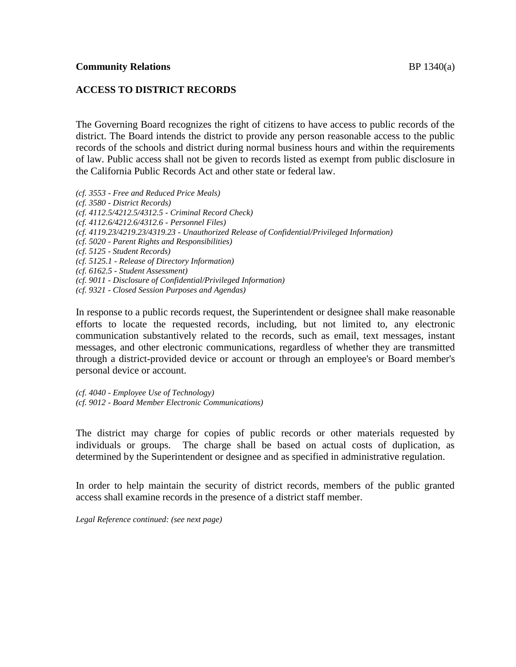# **ACCESS TO DISTRICT RECORDS**

The Governing Board recognizes the right of citizens to have access to public records of the district. The Board intends the district to provide any person reasonable access to the public records of the schools and district during normal business hours and within the requirements of law. Public access shall not be given to records listed as exempt from public disclosure in the California Public Records Act and other state or federal law.

- *(cf. 3553 - Free and Reduced Price Meals)*
- *(cf. 3580 - District Records)*
- *(cf. 4112.5/4212.5/4312.5 - Criminal Record Check)*
- *(cf. 4112.6/4212.6/4312.6 - Personnel Files)*
- *(cf. 4119.23/4219.23/4319.23 - Unauthorized Release of Confidential/Privileged Information)*
- *(cf. 5020 - Parent Rights and Responsibilities)*
- *(cf. 5125 - Student Records)*
- *(cf. 5125.1 - Release of Directory Information)*
- *(cf. 6162.5 - Student Assessment)*
- *(cf. 9011 - Disclosure of Confidential/Privileged Information)*
- *(cf. 9321 - Closed Session Purposes and Agendas)*

In response to a public records request, the Superintendent or designee shall make reasonable efforts to locate the requested records, including, but not limited to, any electronic communication substantively related to the records, such as email, text messages, instant messages, and other electronic communications, regardless of whether they are transmitted through a district-provided device or account or through an employee's or Board member's personal device or account.

*(cf. 4040 - Employee Use of Technology) (cf. 9012 - Board Member Electronic Communications)*

The district may charge for copies of public records or other materials requested by individuals or groups. The charge shall be based on actual costs of duplication, as determined by the Superintendent or designee and as specified in administrative regulation.

In order to help maintain the security of district records, members of the public granted access shall examine records in the presence of a district staff member.

*Legal Reference continued: (see next page)*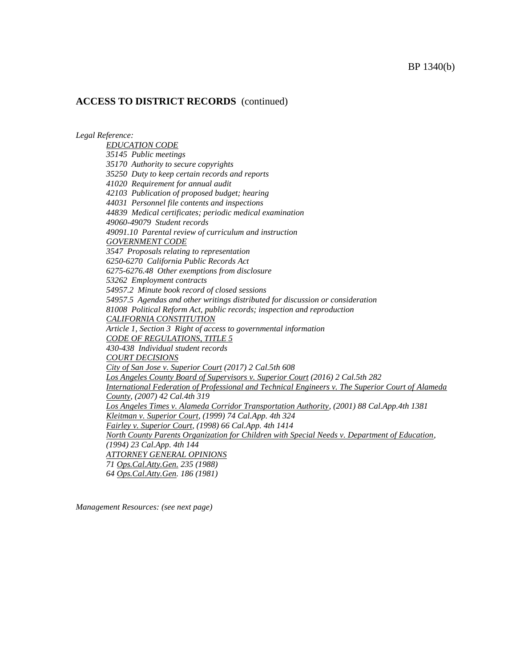*Legal Reference:*

*EDUCATION CODE 35145 Public meetings 35170 Authority to secure copyrights 35250 Duty to keep certain records and reports 41020 Requirement for annual audit 42103 Publication of proposed budget; hearing 44031 Personnel file contents and inspections 44839 Medical certificates; periodic medical examination 49060-49079 Student records 49091.10 Parental review of curriculum and instruction GOVERNMENT CODE 3547 Proposals relating to representation 6250-6270 California Public Records Act 6275-6276.48 Other exemptions from disclosure 53262 Employment contracts 54957.2 Minute book record of closed sessions 54957.5 Agendas and other writings distributed for discussion or consideration 81008 Political Reform Act, public records; inspection and reproduction CALIFORNIA CONSTITUTION Article 1, Section 3 Right of access to governmental information CODE OF REGULATIONS, TITLE 5 430-438 Individual student records COURT DECISIONS City of San Jose v. Superior Court (2017) 2 Cal.5th 608 Los Angeles County Board of Supervisors v. Superior Court (2016) 2 Cal.5th 282 International Federation of Professional and Technical Engineers v. The Superior Court of Alameda County, (2007) 42 Cal.4th 319 Los Angeles Times v. Alameda Corridor Transportation Authority, (2001) 88 Cal.App.4th 1381 Kleitman v. Superior Court, (1999) 74 Cal.App. 4th 324 Fairley v. Superior Court, (1998) 66 Cal.App. 4th 1414 North County Parents Organization for Children with Special Needs v. Department of Education, (1994) 23 Cal.App. 4th 144 ATTORNEY GENERAL OPINIONS 71 Ops.Cal.Atty.Gen. 235 (1988) 64 Ops.Cal.Atty.Gen. 186 (1981)*

*Management Resources: (see next page)*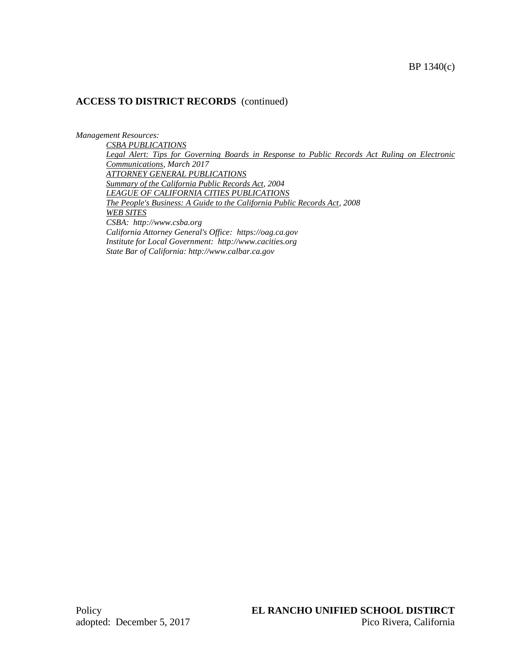*Management Resources:*

*CSBA PUBLICATIONS Legal Alert: Tips for Governing Boards in Response to Public Records Act Ruling on Electronic Communications, March 2017 ATTORNEY GENERAL PUBLICATIONS Summary of the California Public Records Act, 2004 LEAGUE OF CALIFORNIA CITIES PUBLICATIONS The People's Business: A Guide to the California Public Records Act, 2008 WEB SITES CSBA: http://www.csba.org California Attorney General's Office: https://oag.ca.gov Institute for Local Government: http://www.cacities.org State Bar of California: http://www.calbar.ca.gov*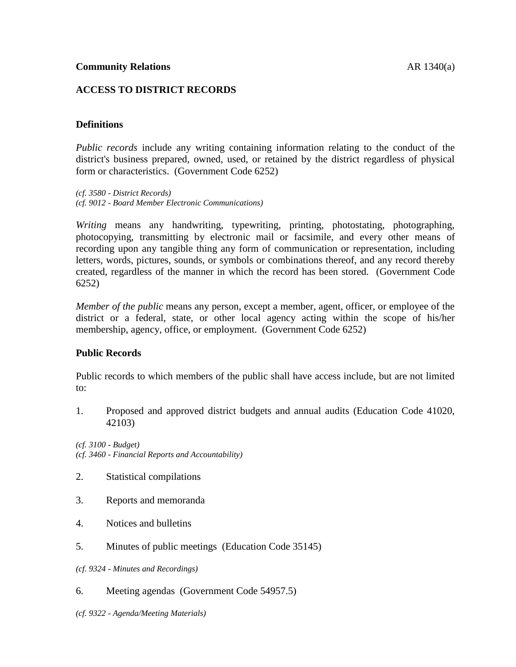## **ACCESS TO DISTRICT RECORDS**

## **Definitions**

*Public records* include any writing containing information relating to the conduct of the district's business prepared, owned, used, or retained by the district regardless of physical form or characteristics. (Government Code 6252)

*(cf. 3580 - District Records) (cf. 9012 - Board Member Electronic Communications)*

*Writing* means any handwriting, typewriting, printing, photostating, photographing, photocopying, transmitting by electronic mail or facsimile, and every other means of recording upon any tangible thing any form of communication or representation, including letters, words, pictures, sounds, or symbols or combinations thereof, and any record thereby created, regardless of the manner in which the record has been stored. (Government Code 6252)

*Member of the public* means any person, except a member, agent, officer, or employee of the district or a federal, state, or other local agency acting within the scope of his/her membership, agency, office, or employment. (Government Code 6252)

### **Public Records**

Public records to which members of the public shall have access include, but are not limited to:

1. Proposed and approved district budgets and annual audits (Education Code 41020, 42103)

*(cf. 3100 - Budget) (cf. 3460 - Financial Reports and Accountability)*

- 2. Statistical compilations
- 3. Reports and memoranda
- 4. Notices and bulletins
- 5. Minutes of public meetings (Education Code 35145)
- *(cf. 9324 - Minutes and Recordings)*
- 6. Meeting agendas (Government Code 54957.5)
- *(cf. 9322 - Agenda/Meeting Materials)*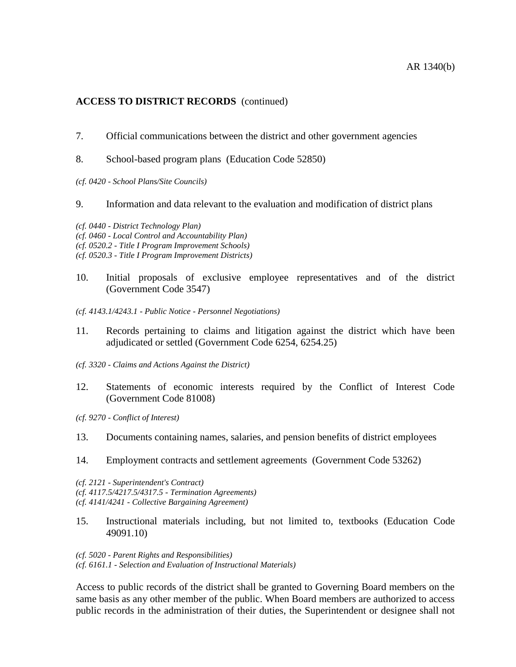- 7. Official communications between the district and other government agencies
- 8. School-based program plans (Education Code 52850)

*(cf. 0420 - School Plans/Site Councils)*

9. Information and data relevant to the evaluation and modification of district plans

*(cf. 0440 - District Technology Plan) (cf. 0460 - Local Control and Accountability Plan) (cf. 0520.2 - Title I Program Improvement Schools) (cf. 0520.3 - Title I Program Improvement Districts)*

- 10. Initial proposals of exclusive employee representatives and of the district (Government Code 3547)
- *(cf. 4143.1/4243.1 - Public Notice - Personnel Negotiations)*
- 11. Records pertaining to claims and litigation against the district which have been adjudicated or settled (Government Code 6254, 6254.25)
- *(cf. 3320 - Claims and Actions Against the District)*
- 12. Statements of economic interests required by the Conflict of Interest Code (Government Code 81008)

*(cf. 9270 - Conflict of Interest)*

- 13. Documents containing names, salaries, and pension benefits of district employees
- 14. Employment contracts and settlement agreements (Government Code 53262)

*(cf. 2121 - Superintendent's Contract) (cf. 4117.5/4217.5/4317.5 - Termination Agreements) (cf. 4141/4241 - Collective Bargaining Agreement)*

15. Instructional materials including, but not limited to, textbooks (Education Code 49091.10)

*(cf. 5020 - Parent Rights and Responsibilities) (cf. 6161.1 - Selection and Evaluation of Instructional Materials)*

Access to public records of the district shall be granted to Governing Board members on the same basis as any other member of the public. When Board members are authorized to access public records in the administration of their duties, the Superintendent or designee shall not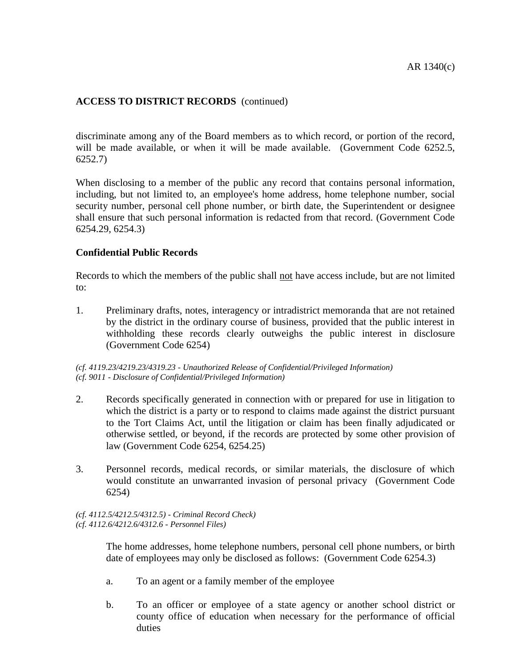discriminate among any of the Board members as to which record, or portion of the record, will be made available, or when it will be made available. (Government Code 6252.5, 6252.7)

When disclosing to a member of the public any record that contains personal information, including, but not limited to, an employee's home address, home telephone number, social security number, personal cell phone number, or birth date, the Superintendent or designee shall ensure that such personal information is redacted from that record. (Government Code 6254.29, 6254.3)

#### **Confidential Public Records**

Records to which the members of the public shall <u>not</u> have access include, but are not limited to:

1. Preliminary drafts, notes, interagency or intradistrict memoranda that are not retained by the district in the ordinary course of business, provided that the public interest in withholding these records clearly outweighs the public interest in disclosure (Government Code 6254)

*(cf. 4119.23/4219.23/4319.23 - Unauthorized Release of Confidential/Privileged Information) (cf. 9011 - Disclosure of Confidential/Privileged Information)*

- 2. Records specifically generated in connection with or prepared for use in litigation to which the district is a party or to respond to claims made against the district pursuant to the Tort Claims Act, until the litigation or claim has been finally adjudicated or otherwise settled, or beyond, if the records are protected by some other provision of law (Government Code 6254, 6254.25)
- 3. Personnel records, medical records, or similar materials, the disclosure of which would constitute an unwarranted invasion of personal privacy (Government Code 6254)

*(cf. 4112.5/4212.5/4312.5) - Criminal Record Check) (cf. 4112.6/4212.6/4312.6 - Personnel Files)*

> The home addresses, home telephone numbers, personal cell phone numbers, or birth date of employees may only be disclosed as follows: (Government Code 6254.3)

- a. To an agent or a family member of the employee
- b. To an officer or employee of a state agency or another school district or county office of education when necessary for the performance of official duties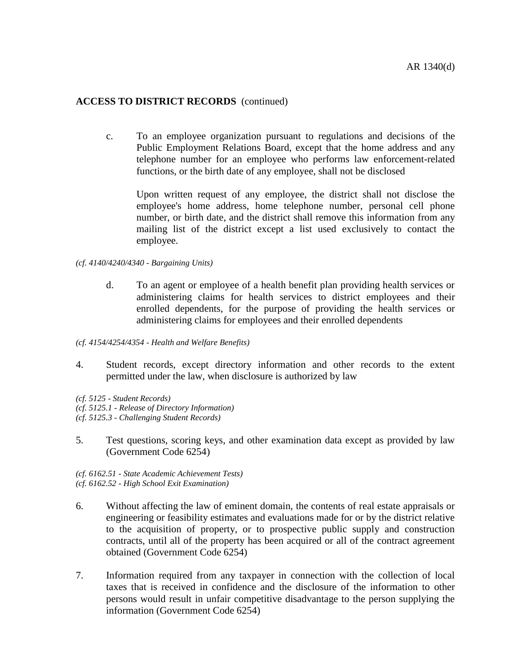c. To an employee organization pursuant to regulations and decisions of the Public Employment Relations Board, except that the home address and any telephone number for an employee who performs law enforcement-related functions, or the birth date of any employee, shall not be disclosed

Upon written request of any employee, the district shall not disclose the employee's home address, home telephone number, personal cell phone number, or birth date, and the district shall remove this information from any mailing list of the district except a list used exclusively to contact the employee.

- *(cf. 4140/4240/4340 - Bargaining Units)*
	- d. To an agent or employee of a health benefit plan providing health services or administering claims for health services to district employees and their enrolled dependents, for the purpose of providing the health services or administering claims for employees and their enrolled dependents
- *(cf. 4154/4254/4354 - Health and Welfare Benefits)*
- 4. Student records, except directory information and other records to the extent permitted under the law, when disclosure is authorized by law
- *(cf. 5125 - Student Records) (cf. 5125.1 - Release of Directory Information) (cf. 5125.3 - Challenging Student Records)*
- 5. Test questions, scoring keys, and other examination data except as provided by law (Government Code 6254)
- *(cf. 6162.51 - State Academic Achievement Tests) (cf. 6162.52 - High School Exit Examination)*
- 6. Without affecting the law of eminent domain, the contents of real estate appraisals or engineering or feasibility estimates and evaluations made for or by the district relative to the acquisition of property, or to prospective public supply and construction contracts, until all of the property has been acquired or all of the contract agreement obtained (Government Code 6254)
- 7. Information required from any taxpayer in connection with the collection of local taxes that is received in confidence and the disclosure of the information to other persons would result in unfair competitive disadvantage to the person supplying the information (Government Code 6254)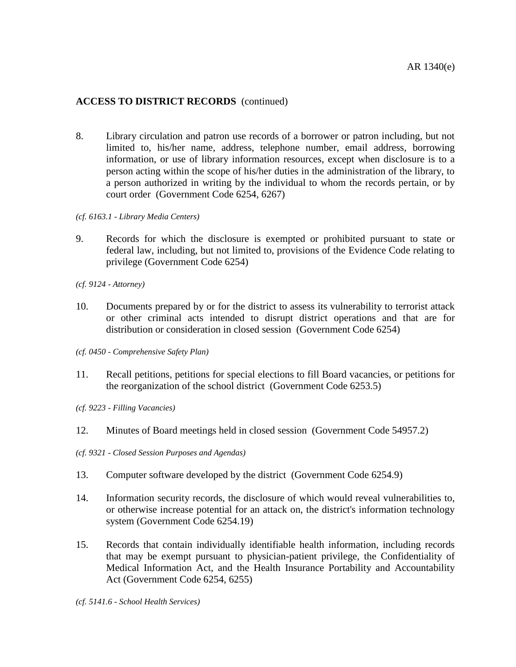- 8. Library circulation and patron use records of a borrower or patron including, but not limited to, his/her name, address, telephone number, email address, borrowing information, or use of library information resources, except when disclosure is to a person acting within the scope of his/her duties in the administration of the library, to a person authorized in writing by the individual to whom the records pertain, or by court order (Government Code 6254, 6267)
- *(cf. 6163.1 - Library Media Centers)*
- 9. Records for which the disclosure is exempted or prohibited pursuant to state or federal law, including, but not limited to, provisions of the Evidence Code relating to privilege (Government Code 6254)
- *(cf. 9124 - Attorney)*
- 10. Documents prepared by or for the district to assess its vulnerability to terrorist attack or other criminal acts intended to disrupt district operations and that are for distribution or consideration in closed session (Government Code 6254)
- *(cf. 0450 - Comprehensive Safety Plan)*
- 11. Recall petitions, petitions for special elections to fill Board vacancies, or petitions for the reorganization of the school district (Government Code 6253.5)
- *(cf. 9223 - Filling Vacancies)*
- 12. Minutes of Board meetings held in closed session (Government Code 54957.2)
- *(cf. 9321 - Closed Session Purposes and Agendas)*
- 13. Computer software developed by the district (Government Code 6254.9)
- 14. Information security records, the disclosure of which would reveal vulnerabilities to, or otherwise increase potential for an attack on, the district's information technology system (Government Code 6254.19)
- 15. Records that contain individually identifiable health information, including records that may be exempt pursuant to physician-patient privilege, the Confidentiality of Medical Information Act, and the Health Insurance Portability and Accountability Act (Government Code 6254, 6255)

*(cf. 5141.6 - School Health Services)*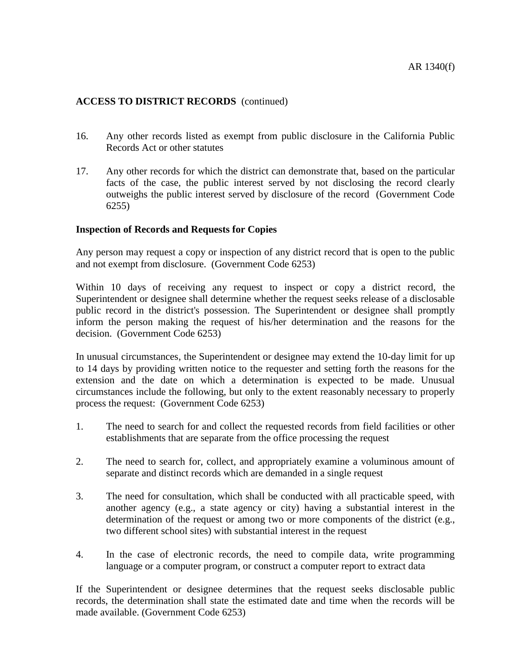- 16. Any other records listed as exempt from public disclosure in the California Public Records Act or other statutes
- 17. Any other records for which the district can demonstrate that, based on the particular facts of the case, the public interest served by not disclosing the record clearly outweighs the public interest served by disclosure of the record (Government Code 6255)

### **Inspection of Records and Requests for Copies**

Any person may request a copy or inspection of any district record that is open to the public and not exempt from disclosure. (Government Code 6253)

Within 10 days of receiving any request to inspect or copy a district record, the Superintendent or designee shall determine whether the request seeks release of a disclosable public record in the district's possession. The Superintendent or designee shall promptly inform the person making the request of his/her determination and the reasons for the decision. (Government Code 6253)

In unusual circumstances, the Superintendent or designee may extend the 10-day limit for up to 14 days by providing written notice to the requester and setting forth the reasons for the extension and the date on which a determination is expected to be made. Unusual circumstances include the following, but only to the extent reasonably necessary to properly process the request: (Government Code 6253)

- 1. The need to search for and collect the requested records from field facilities or other establishments that are separate from the office processing the request
- 2. The need to search for, collect, and appropriately examine a voluminous amount of separate and distinct records which are demanded in a single request
- 3. The need for consultation, which shall be conducted with all practicable speed, with another agency (e.g., a state agency or city) having a substantial interest in the determination of the request or among two or more components of the district (e.g., two different school sites) with substantial interest in the request
- 4. In the case of electronic records, the need to compile data, write programming language or a computer program, or construct a computer report to extract data

If the Superintendent or designee determines that the request seeks disclosable public records, the determination shall state the estimated date and time when the records will be made available. (Government Code 6253)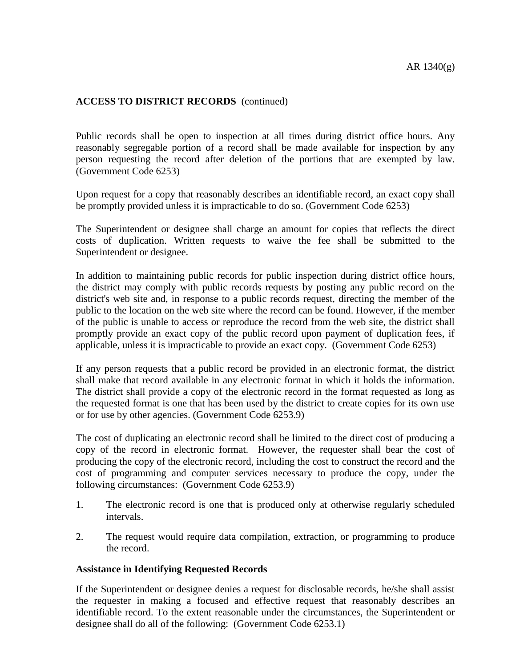Public records shall be open to inspection at all times during district office hours. Any reasonably segregable portion of a record shall be made available for inspection by any person requesting the record after deletion of the portions that are exempted by law. (Government Code 6253)

Upon request for a copy that reasonably describes an identifiable record, an exact copy shall be promptly provided unless it is impracticable to do so. (Government Code 6253)

The Superintendent or designee shall charge an amount for copies that reflects the direct costs of duplication. Written requests to waive the fee shall be submitted to the Superintendent or designee.

In addition to maintaining public records for public inspection during district office hours, the district may comply with public records requests by posting any public record on the district's web site and, in response to a public records request, directing the member of the public to the location on the web site where the record can be found. However, if the member of the public is unable to access or reproduce the record from the web site, the district shall promptly provide an exact copy of the public record upon payment of duplication fees, if applicable, unless it is impracticable to provide an exact copy. (Government Code 6253)

If any person requests that a public record be provided in an electronic format, the district shall make that record available in any electronic format in which it holds the information. The district shall provide a copy of the electronic record in the format requested as long as the requested format is one that has been used by the district to create copies for its own use or for use by other agencies. (Government Code 6253.9)

The cost of duplicating an electronic record shall be limited to the direct cost of producing a copy of the record in electronic format. However, the requester shall bear the cost of producing the copy of the electronic record, including the cost to construct the record and the cost of programming and computer services necessary to produce the copy, under the following circumstances: (Government Code 6253.9)

- 1. The electronic record is one that is produced only at otherwise regularly scheduled intervals.
- 2. The request would require data compilation, extraction, or programming to produce the record.

#### **Assistance in Identifying Requested Records**

If the Superintendent or designee denies a request for disclosable records, he/she shall assist the requester in making a focused and effective request that reasonably describes an identifiable record. To the extent reasonable under the circumstances, the Superintendent or designee shall do all of the following: (Government Code 6253.1)